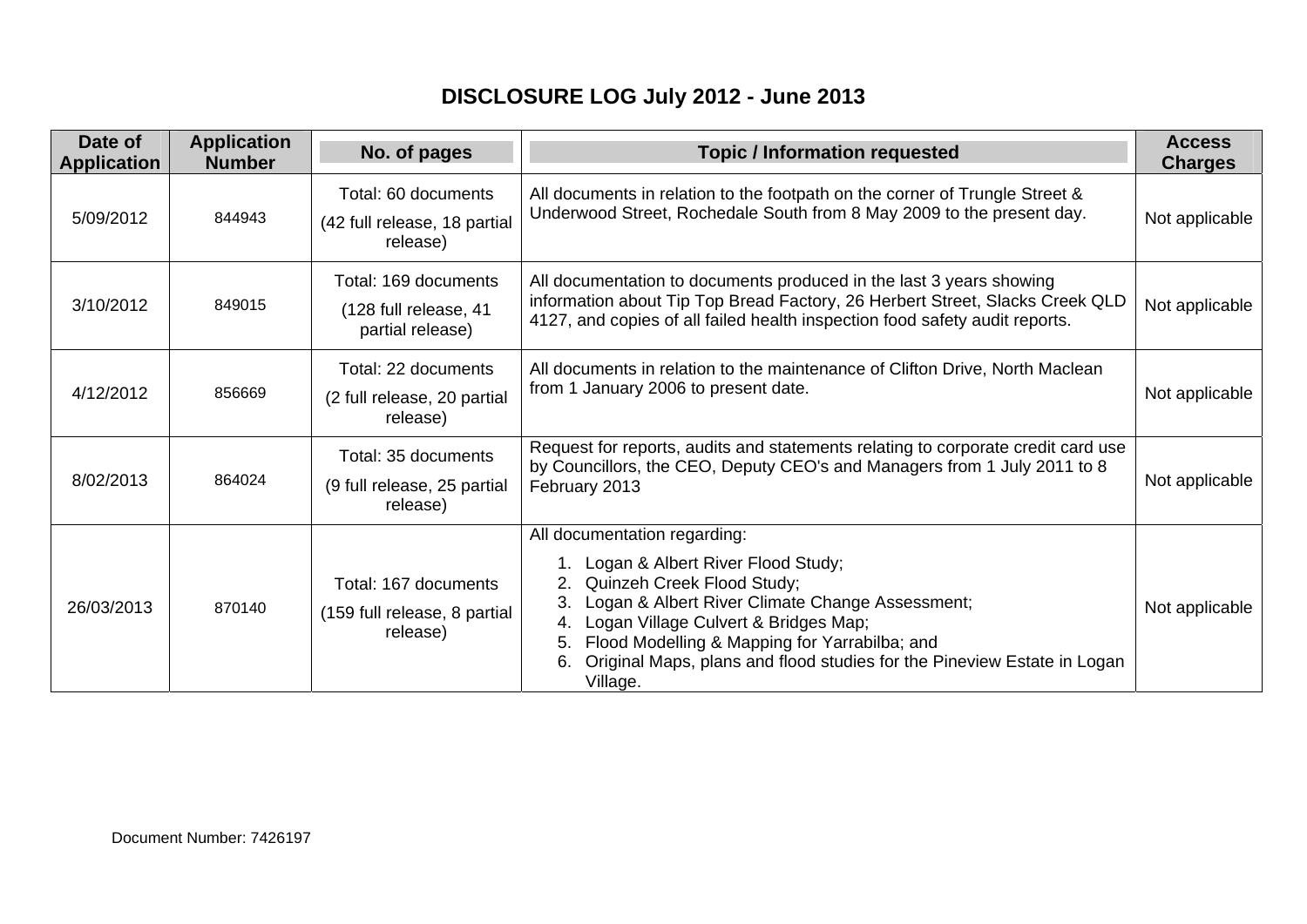## **DISCLOSURE LOG July 2012 - June 2013**

| Date of<br><b>Application</b> | <b>Application</b><br><b>Number</b> | No. of pages                                                      | <b>Topic / Information requested</b>                                                                                                                                                                                                                                                                                                                    | <b>Access</b><br><b>Charges</b> |
|-------------------------------|-------------------------------------|-------------------------------------------------------------------|---------------------------------------------------------------------------------------------------------------------------------------------------------------------------------------------------------------------------------------------------------------------------------------------------------------------------------------------------------|---------------------------------|
| 5/09/2012                     | 844943                              | Total: 60 documents<br>(42 full release, 18 partial<br>release)   | All documents in relation to the footpath on the corner of Trungle Street &<br>Underwood Street, Rochedale South from 8 May 2009 to the present day.                                                                                                                                                                                                    | Not applicable                  |
| 3/10/2012                     | 849015                              | Total: 169 documents<br>(128 full release, 41<br>partial release) | All documentation to documents produced in the last 3 years showing<br>information about Tip Top Bread Factory, 26 Herbert Street, Slacks Creek QLD<br>4127, and copies of all failed health inspection food safety audit reports.                                                                                                                      | Not applicable                  |
| 4/12/2012                     | 856669                              | Total: 22 documents<br>(2 full release, 20 partial<br>release)    | All documents in relation to the maintenance of Clifton Drive, North Maclean<br>from 1 January 2006 to present date.                                                                                                                                                                                                                                    | Not applicable                  |
| 8/02/2013                     | 864024                              | Total: 35 documents<br>(9 full release, 25 partial<br>release)    | Request for reports, audits and statements relating to corporate credit card use<br>by Councillors, the CEO, Deputy CEO's and Managers from 1 July 2011 to 8<br>February 2013                                                                                                                                                                           | Not applicable                  |
| 26/03/2013                    | 870140                              | Total: 167 documents<br>(159 full release, 8 partial<br>release)  | All documentation regarding:<br>1. Logan & Albert River Flood Study;<br>Quinzeh Creek Flood Study;<br>Logan & Albert River Climate Change Assessment;<br>Logan Village Culvert & Bridges Map;<br>4.<br>Flood Modelling & Mapping for Yarrabilba; and<br>5.<br>Original Maps, plans and flood studies for the Pineview Estate in Logan<br>6.<br>Village. | Not applicable                  |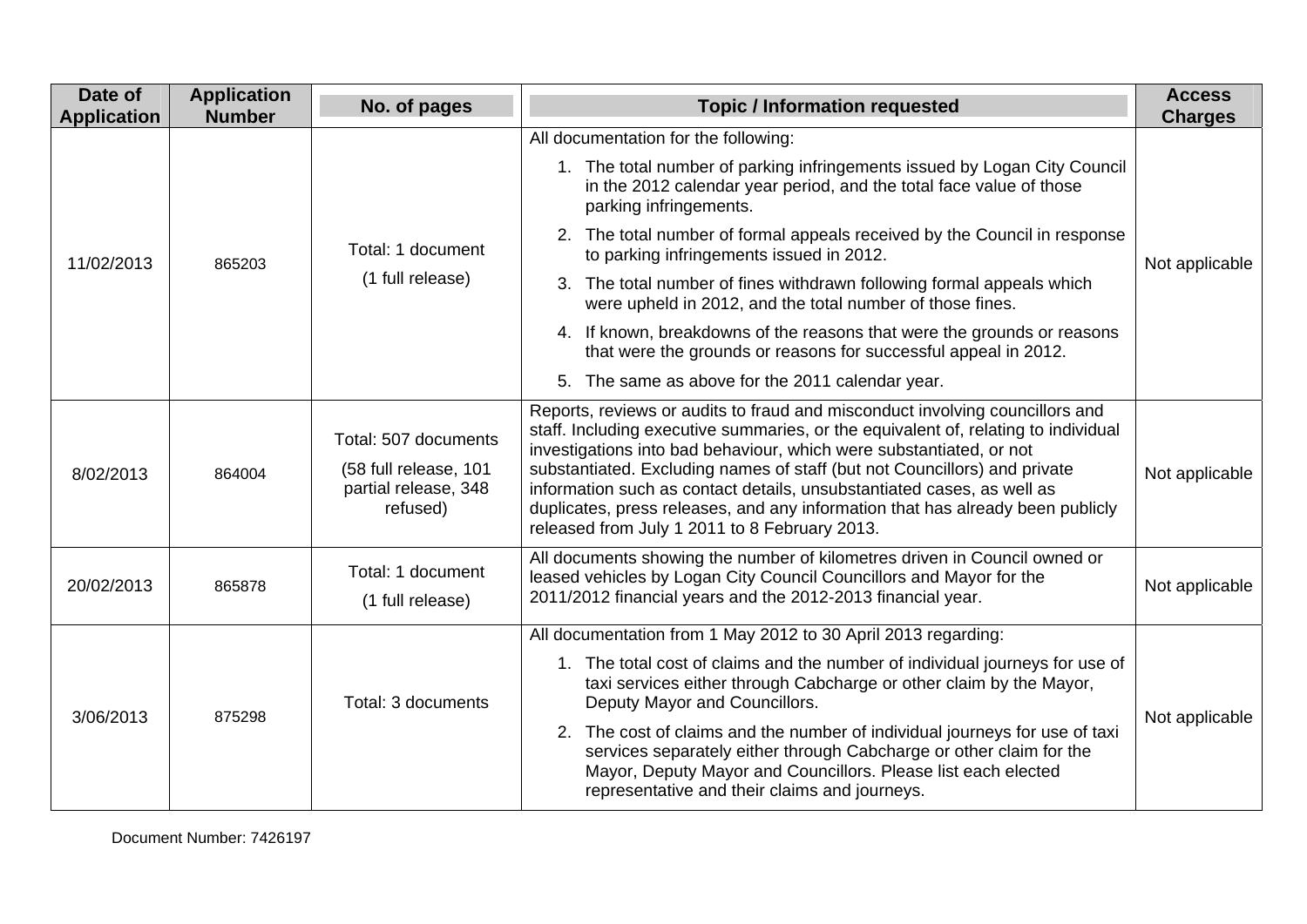| Date of<br><b>Application</b> | <b>Application</b><br><b>Number</b> | No. of pages                                                                      | <b>Topic / Information requested</b>                                                                                                                                                                                                                                                                                                                                                                                                                                                                                                | <b>Access</b><br><b>Charges</b> |
|-------------------------------|-------------------------------------|-----------------------------------------------------------------------------------|-------------------------------------------------------------------------------------------------------------------------------------------------------------------------------------------------------------------------------------------------------------------------------------------------------------------------------------------------------------------------------------------------------------------------------------------------------------------------------------------------------------------------------------|---------------------------------|
|                               |                                     |                                                                                   | All documentation for the following:                                                                                                                                                                                                                                                                                                                                                                                                                                                                                                |                                 |
|                               |                                     |                                                                                   | 1. The total number of parking infringements issued by Logan City Council<br>in the 2012 calendar year period, and the total face value of those<br>parking infringements.                                                                                                                                                                                                                                                                                                                                                          |                                 |
| 11/02/2013                    | 865203                              | Total: 1 document<br>(1 full release)                                             | 2. The total number of formal appeals received by the Council in response<br>to parking infringements issued in 2012.                                                                                                                                                                                                                                                                                                                                                                                                               | Not applicable                  |
|                               |                                     |                                                                                   | 3. The total number of fines withdrawn following formal appeals which<br>were upheld in 2012, and the total number of those fines.                                                                                                                                                                                                                                                                                                                                                                                                  |                                 |
|                               |                                     |                                                                                   | 4. If known, breakdowns of the reasons that were the grounds or reasons<br>that were the grounds or reasons for successful appeal in 2012.                                                                                                                                                                                                                                                                                                                                                                                          |                                 |
|                               |                                     |                                                                                   | 5. The same as above for the 2011 calendar year.                                                                                                                                                                                                                                                                                                                                                                                                                                                                                    |                                 |
| 8/02/2013                     | 864004                              | Total: 507 documents<br>(58 full release, 101<br>partial release, 348<br>refused) | Reports, reviews or audits to fraud and misconduct involving councillors and<br>staff. Including executive summaries, or the equivalent of, relating to individual<br>investigations into bad behaviour, which were substantiated, or not<br>substantiated. Excluding names of staff (but not Councillors) and private<br>information such as contact details, unsubstantiated cases, as well as<br>duplicates, press releases, and any information that has already been publicly<br>released from July 1 2011 to 8 February 2013. | Not applicable                  |
| 20/02/2013                    | 865878                              | Total: 1 document<br>(1 full release)                                             | All documents showing the number of kilometres driven in Council owned or<br>leased vehicles by Logan City Council Councillors and Mayor for the<br>2011/2012 financial years and the 2012-2013 financial year.                                                                                                                                                                                                                                                                                                                     | Not applicable                  |
| 3/06/2013                     | 875298                              | Total: 3 documents                                                                | All documentation from 1 May 2012 to 30 April 2013 regarding:                                                                                                                                                                                                                                                                                                                                                                                                                                                                       |                                 |
|                               |                                     |                                                                                   | 1. The total cost of claims and the number of individual journeys for use of<br>taxi services either through Cabcharge or other claim by the Mayor,<br>Deputy Mayor and Councillors.                                                                                                                                                                                                                                                                                                                                                | Not applicable                  |
|                               |                                     |                                                                                   | 2. The cost of claims and the number of individual journeys for use of taxi<br>services separately either through Cabcharge or other claim for the<br>Mayor, Deputy Mayor and Councillors. Please list each elected<br>representative and their claims and journeys.                                                                                                                                                                                                                                                                |                                 |